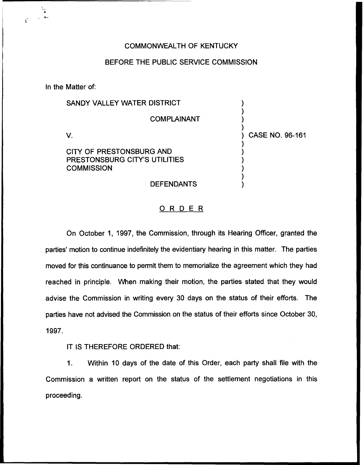## COMMONWEALTH OF KENTUCKY

## BEFORE THE PUBLIC SERVICE COMMISSION

In the Matter of:

| SANDY VALLEY WATER DISTRICT                                                    |                 |
|--------------------------------------------------------------------------------|-----------------|
| <b>COMPLAINANT</b>                                                             |                 |
|                                                                                | CASE NO. 96-161 |
| CITY OF PRESTONSBURG AND<br>PRESTONSBURG CITY'S UTILITIES<br><b>COMMISSION</b> |                 |
| <b>DEFENDANTS</b>                                                              |                 |

## O R D E R

On October 1, 1997, the Commission, through its Hearing Officer, granted the parties' motion to continue indefinitely the evidentiary hearing in this matter. The parties moved for this continuance to permit them to memorialize the agreement which they had reached in principle. When making their motion, the parties stated that they would advise the Commission in writing every 30 days on the status of their efforts. The parties have not advised the Commission on the status of their efforts since October 30, 1997.

IT IS THEREFORE ORDERED that:

1. Within 10 days of the date of this Order, each party shall file with the Commission a written report on the status of the settlement negotiations in this proceeding.